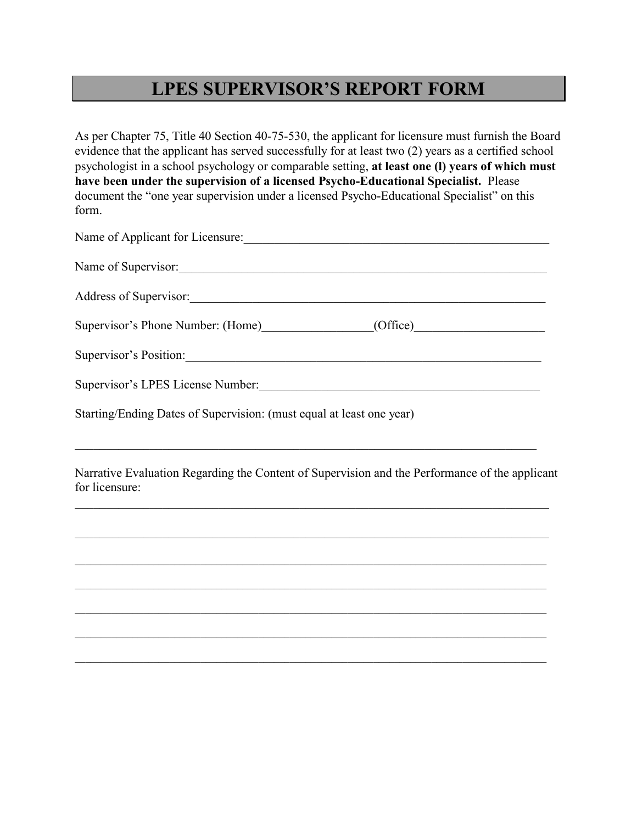## **LPES SUPERVISOR'S REPORT FORM**

As per Chapter 75, Title 40 Section 40-75-530, the applicant for licensure must furnish the Board evidence that the applicant has served successfully for at least two (2) years as a certified school psychologist in a school psychology or comparable setting, **at least one (l) years of which must have been under the supervision of a licensed Psycho-Educational Specialist.** Please document the "one year supervision under a licensed Psycho-Educational Specialist" on this form.

| Name of Applicant for Licensure:                                     |
|----------------------------------------------------------------------|
| Name of Supervisor:                                                  |
| Address of Supervisor:                                               |
| Supervisor's Phone Number: (Home)<br>(Office)                        |
| Supervisor's Position:                                               |
| Supervisor's LPES License Number:                                    |
| Starting/Ending Dates of Supervision: (must equal at least one year) |

Narrative Evaluation Regarding the Content of Supervision and the Performance of the applicant for licensure:

 $\mathcal{L}_\mathcal{L} = \{ \mathcal{L}_\mathcal{L} = \{ \mathcal{L}_\mathcal{L} = \{ \mathcal{L}_\mathcal{L} = \{ \mathcal{L}_\mathcal{L} = \{ \mathcal{L}_\mathcal{L} = \{ \mathcal{L}_\mathcal{L} = \{ \mathcal{L}_\mathcal{L} = \{ \mathcal{L}_\mathcal{L} = \{ \mathcal{L}_\mathcal{L} = \{ \mathcal{L}_\mathcal{L} = \{ \mathcal{L}_\mathcal{L} = \{ \mathcal{L}_\mathcal{L} = \{ \mathcal{L}_\mathcal{L} = \{ \mathcal{L}_\mathcal{$ 

 $\mathcal{L}_\mathcal{L} = \{ \mathcal{L}_\mathcal{L} = \{ \mathcal{L}_\mathcal{L} = \{ \mathcal{L}_\mathcal{L} = \{ \mathcal{L}_\mathcal{L} = \{ \mathcal{L}_\mathcal{L} = \{ \mathcal{L}_\mathcal{L} = \{ \mathcal{L}_\mathcal{L} = \{ \mathcal{L}_\mathcal{L} = \{ \mathcal{L}_\mathcal{L} = \{ \mathcal{L}_\mathcal{L} = \{ \mathcal{L}_\mathcal{L} = \{ \mathcal{L}_\mathcal{L} = \{ \mathcal{L}_\mathcal{L} = \{ \mathcal{L}_\mathcal{$ 

 $\mathcal{L}_\mathcal{L} = \{ \mathcal{L}_\mathcal{L} = \{ \mathcal{L}_\mathcal{L} = \{ \mathcal{L}_\mathcal{L} = \{ \mathcal{L}_\mathcal{L} = \{ \mathcal{L}_\mathcal{L} = \{ \mathcal{L}_\mathcal{L} = \{ \mathcal{L}_\mathcal{L} = \{ \mathcal{L}_\mathcal{L} = \{ \mathcal{L}_\mathcal{L} = \{ \mathcal{L}_\mathcal{L} = \{ \mathcal{L}_\mathcal{L} = \{ \mathcal{L}_\mathcal{L} = \{ \mathcal{L}_\mathcal{L} = \{ \mathcal{L}_\mathcal{$ 

 $\mathcal{L}_\text{max}$ 

 $\mathcal{L}_\mathcal{L} = \{ \mathcal{L}_\mathcal{L} = \{ \mathcal{L}_\mathcal{L} = \{ \mathcal{L}_\mathcal{L} = \{ \mathcal{L}_\mathcal{L} = \{ \mathcal{L}_\mathcal{L} = \{ \mathcal{L}_\mathcal{L} = \{ \mathcal{L}_\mathcal{L} = \{ \mathcal{L}_\mathcal{L} = \{ \mathcal{L}_\mathcal{L} = \{ \mathcal{L}_\mathcal{L} = \{ \mathcal{L}_\mathcal{L} = \{ \mathcal{L}_\mathcal{L} = \{ \mathcal{L}_\mathcal{L} = \{ \mathcal{L}_\mathcal{$ 

 $\mathcal{L}_\text{max}$  , and the contribution of the contribution of the contribution of the contribution of the contribution of the contribution of the contribution of the contribution of the contribution of the contribution of t